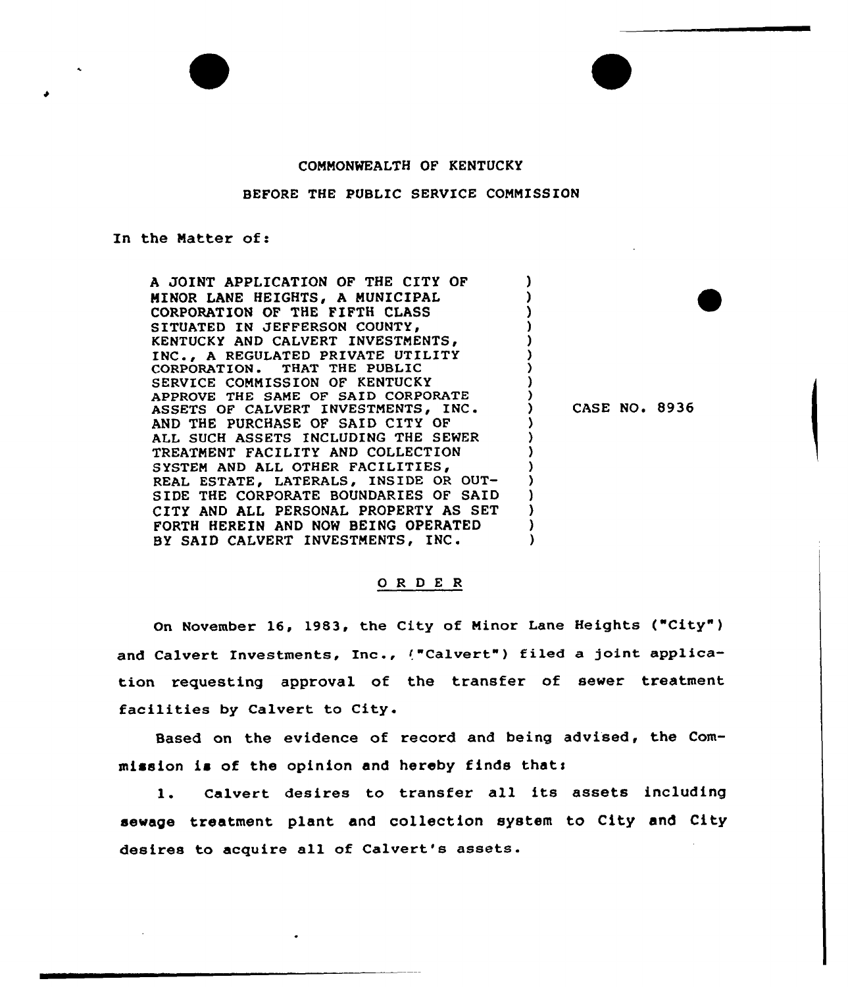## CONNONWEALTH OF KENTUCKY

## BEFORE THE PUBLIC SERVICE COMMISSION

## In the Natter of:

A JOINT APPLICATION OF THE CITY OF MINOR LANE HEIGHTS, A MUNICIPAL CORPORATION OF THE FIFTH CLASS SITUATED IN JEFFERSON COUNTY, KENTUCKY AND CALVERT INVESTMENTS, INC., A REGULATED PRIVATE UTILITY<br>CORPORATION. THAT THE PUBLIC THAT THE PUBLIC SERVICE CONNISSION OF KENTUCKY APPROVE THE SANE OF SAID CORPORATE ASSETS OF CALVERT INVESTMENTS, INC. THE PURCHASE OF SAID CITY OF ALL SUCH ASSETS INCLUDING THE SEWER TREATMENT FACILITY AND COLLECTION SYSTEM AND ALL OTHER FACILITIES, REAL ESTATE, LATERALS, INSIDE OR OUT-SIDE THE CORPORATE BOUNDARIES OF SAID CITY AND ALL PERSONAL PROPERTY AS SET FORTH HEREIN AND NOW BEING OPERATED BY SAID CALVERT INVESTMENTS, INC.

CASE NO. 8936

) ) ) ) ) ) ) ) )

> ) ) ) ) ) ) ) ) )

## 0 R <sup>D</sup> E <sup>R</sup>

On November 16, 1983, the City of Ninor Lane Heights ("City" ) and Calvert Investments, Inc., ("Calvert") filed a joint application requesting approval of the transfer of sewer treatment facilities by Calvert to City.

Based on the evidence of record and being advised, the Commission is of the opinion and hereby finds thats

1. Calvert desires to transfer all its assets including sewage treatment plant and collection system to City and City desires to acquire all of Calvert's assets.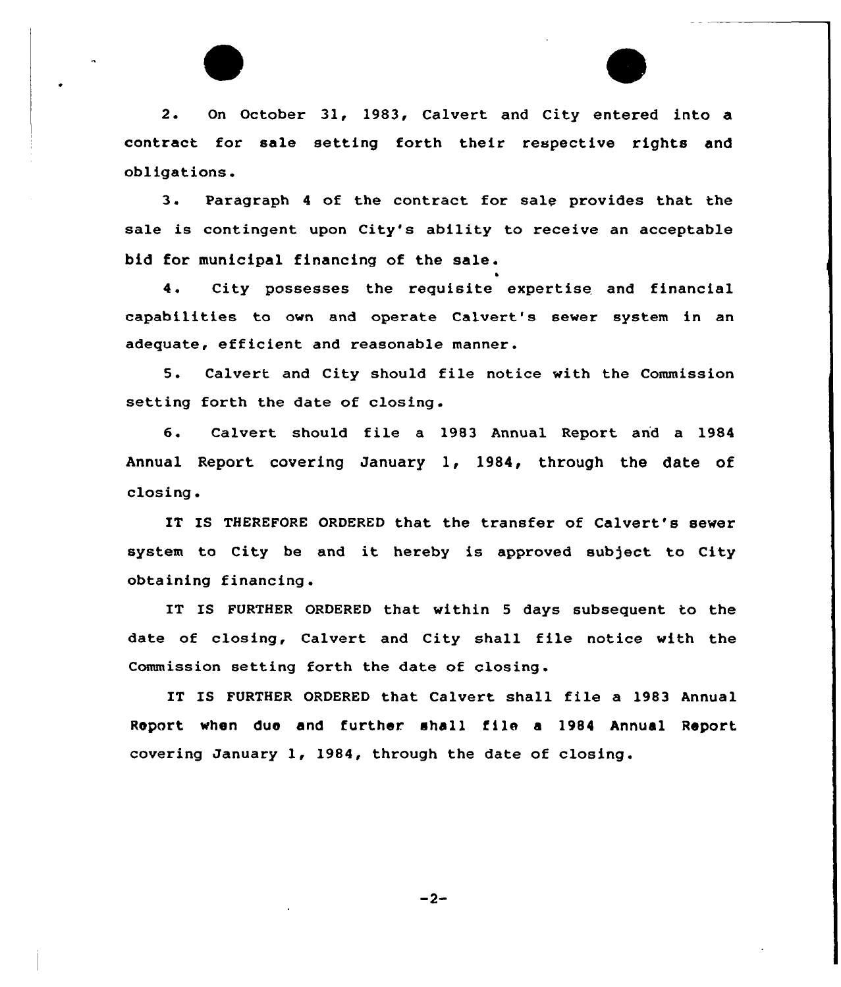2. On October 31, 1983, Calvert and City entered into a contract for sale setting forth their respective rights and obligations.

3. Paragraph <sup>4</sup> of the contract for sale provides that the sale is contingent upon City's ability to receive an acceptable bid for municipal financing of the sale.

4. City possesses the requisite expertise and financial capabilities to own and operate Calvert's sewer system in an adequate, efficient and reasonable manner.

5. Calvert and City should file notice with the Commission setting forth the date of closing .

6. Calvert should file <sup>a</sup> 1983 Annual Report and <sup>a</sup> 1984 Annual Report covering January 1, l984, through the date of closing .

IT IS THEREFORE ORDERED that the transfer of Calvert's sewer system to City be and it hereby is approved subject to City obtaining financing .

IT IS FURTHER ORDERED that within 5 days subsequent to the date of closing, Calvert and City shall file notice with the Commission setting forth the date of closing.

IT IS FURTHER ORDERED that Calvert shall file a 1983 Annual Roport when due and further shall file <sup>a</sup> 19&4 Annual Report covering Januaxy 1, 1984, through the date of closing.

 $-2-$